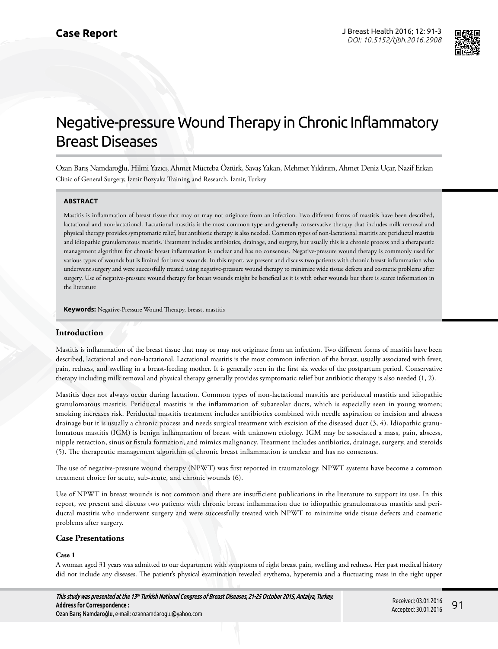

# Negative-pressure Wound Therapy in Chronic Inflammatory Breast Diseases

Ozan Barış Namdaroğlu, Hilmi Yazıcı, Ahmet Mücteba Öztürk, Savaş Yakan, Mehmet Yıldırım, Ahmet Deniz Uçar, Nazif Erkan Clinic of General Surgery, İzmir Bozyaka Training and Research, İzmir, Turkey

## **ABSTRACT**

Mastitis is inflammation of breast tissue that may or may not originate from an infection. Two different forms of mastitis have been described, lactational and non-lactational. Lactational mastitis is the most common type and generally conservative therapy that includes milk removal and physical therapy provides symptomatic relief, but antibiotic therapy is also needed. Common types of non-lactational mastitis are periductal mastitis and idiopathic granulomatous mastitis. Treatment includes antibiotics, drainage, and surgery, but usually this is a chronic process and a therapeutic management algorithm for chronic breast inflammation is unclear and has no consensus. Negative-pressure wound therapy is commonly used for various types of wounds but is limited for breast wounds. In this report, we present and discuss two patients with chronic breast inflammation who underwent surgery and were successfully treated using negative-pressure wound therapy to minimize wide tissue defects and cosmetic problems after surgery. Use of negative-pressure wound therapy for breast wounds might be benefical as it is with other wounds but there is scarce information in the literature

**Keywords:** Negative-Pressure Wound Therapy, breast, mastitis

# **Introduction**

Mastitis is inflammation of the breast tissue that may or may not originate from an infection. Two different forms of mastitis have been described, lactational and non-lactational. Lactational mastitis is the most common infection of the breast, usually associated with fever, pain, redness, and swelling in a breast-feeding mother. It is generally seen in the first six weeks of the postpartum period. Conservative therapy including milk removal and physical therapy generally provides symptomatic relief but antibiotic therapy is also needed (1, 2).

Mastitis does not always occur during lactation. Common types of non-lactational mastitis are periductal mastitis and idiopathic granulomatous mastitis. Periductal mastitis is the inflammation of subareolar ducts, which is especially seen in young women; smoking increases risk. Periductal mastitis treatment includes antibiotics combined with needle aspiration or incision and abscess drainage but it is usually a chronic process and needs surgical treatment with excision of the diseased duct (3, 4). Idiopathic granulomatous mastitis (IGM) is benign inflammation of breast with unknown etiology. IGM may be associated a mass, pain, abscess, nipple retraction, sinus or fistula formation, and mimics malignancy. Treatment includes antibiotics, drainage, surgery, and steroids (5). The therapeutic management algorithm of chronic breast inflammation is unclear and has no consensus.

The use of negative-pressure wound therapy (NPWT) was first reported in traumatology. NPWT systems have become a common treatment choice for acute, sub-acute, and chronic wounds (6).

Use of NPWT in breast wounds is not common and there are insufficient publications in the literature to support its use. In this report, we present and discuss two patients with chronic breast inflammation due to idiopathic granulomatous mastitis and periductal mastitis who underwent surgery and were successfully treated with NPWT to minimize wide tissue defects and cosmetic problems after surgery.

# **Case Presentations**

## **Case 1**

A woman aged 31 years was admitted to our department with symptoms of right breast pain, swelling and redness. Her past medical history did not include any diseases. The patient's physical examination revealed erythema, hyperemia and a fluctuating mass in the right upper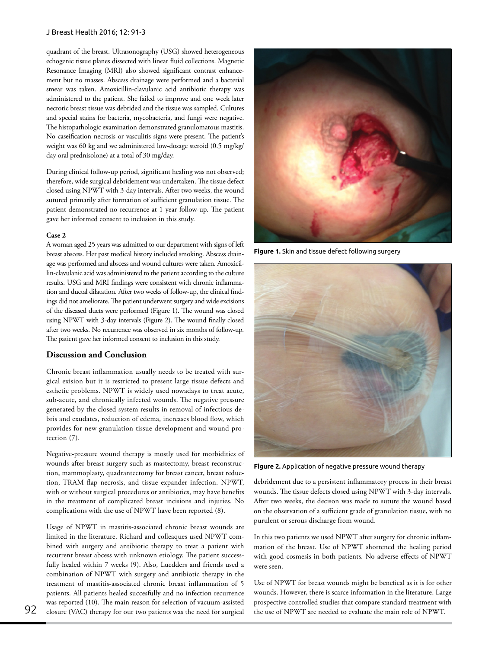#### J Breast Health 2016; 12: 91-3

quadrant of the breast. Ultrasonography (USG) showed heterogeneous echogenic tissue planes dissected with linear fluid collections. Magnetic Resonance Imaging (MRI) also showed significant contrast enhancement but no masses. Abscess drainage were performed and a bacterial smear was taken. Amoxicillin-clavulanic acid antibiotic therapy was administered to the patient. She failed to improve and one week later necrotic breast tissue was debrided and the tissue was sampled. Cultures and special stains for bacteria, mycobacteria, and fungi were negative. The histopathologic examination demonstrated granulomatous mastitis. No caseification necrosis or vasculitis signs were present. The patient's weight was 60 kg and we administered low-dosage steroid (0.5 mg/kg/ day oral prednisolone) at a total of 30 mg/day.

During clinical follow-up period, significant healing was not observed; therefore, wide surgical debridement was undertaken. The tissue defect closed using NPWT with 3-day intervals. After two weeks, the wound sutured primarily after formation of sufficient granulation tissue. The patient demonstrated no recurrence at 1 year follow-up. The patient gave her informed consent to inclusion in this study.

#### **Case 2**

A woman aged 25 years was admitted to our department with signs of left breast abscess. Her past medical history included smoking. Abscess drainage was performed and abscess and wound cultures were taken. Amoxicillin-clavulanic acid was administered to the patient according to the culture results. USG and MRI findings were consistent with chronic inflammation and ductal dilatation. After two weeks of follow-up, the clinical findings did not ameliorate. The patient underwent surgery and wide excisions of the diseased ducts were performed (Figure 1). The wound was closed using NPWT with 3-day intervals (Figure 2). The wound finally closed after two weeks. No recurrence was observed in six months of follow-up. The patient gave her informed consent to inclusion in this study.

# **Discussion and Conclusion**

Chronic breast inflammation usually needs to be treated with surgical exision but it is restricted to present large tissue defects and esthetic problems. NPWT is widely used nowadays to treat acute, sub-acute, and chronically infected wounds. The negative pressure generated by the closed system results in removal of infectious debris and exudates, reduction of edema, increases blood flow, which provides for new granulation tissue development and wound protection (7).

Negative-pressure wound therapy is mostly used for morbidities of wounds after breast surgery such as mastectomy, breast reconstruction, mammoplasty, quadrantectomy for breast cancer, breast reduction, TRAM flap necrosis, and tissue expander infection. NPWT, with or without surgical procedures or antibiotics, may have benefits in the treatment of complicated breast incisions and injuries. No complications with the use of NPWT have been reported (8).

Usage of NPWT in mastitis-associated chronic breast wounds are limited in the literature. Richard and colleaques used NPWT combined with surgery and antibiotic therapy to treat a patient with recurrent breast abcess with unknown etiology. The patient successfully healed within 7 weeks (9). Also, Luedders and friends used a combination of NPWT with surgery and antibiotic therapy in the treatment of mastitis-associated chronic breast inflammation of 5 patients. All patients healed succesfully and no infection recurrence was reported (10). The main reason for selection of vacuum-assisted closure (VAC) therapy for our two patients was the need for surgical



**Figure 1.** Skin and tissue defect following surgery



**Figure 2.** Application of negative pressure wound therapy

debridement due to a persistent inflammatory process in their breast wounds. The tissue defects closed using NPWT with 3-day intervals. After two weeks, the decison was made to suture the wound based on the observation of a sufficient grade of granulation tissue, with no purulent or serous discharge from wound.

In this two patients we used NPWT after surgery for chronic inflammation of the breast. Use of NPWT shortened the healing period with good cosmesis in both patients. No adverse effects of NPWT were seen.

Use of NPWT for breast wounds might be benefical as it is for other wounds. However, there is scarce information in the literature. Large prospective controlled studies that compare standard treatment with the use of NPWT are needed to evaluate the main role of NPWT.